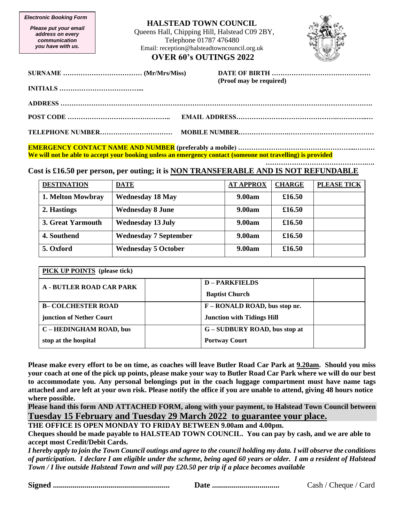*Electronic Booking Form*

*Please put your email address on every communication you have with us.*

## **HALSTEAD TOWN COUNCIL**

Queens Hall, Chipping Hill, Halstead C09 2BY, Telephone 01787 476480 Email: reception@halsteadtowncouncil.org.uk **OVER 60's OUTINGS 2022**



| (Proof may be required) |
|-------------------------|
|                         |
|                         |
|                         |
|                         |

**EMERGENCY CONTACT NAME AND NUMBER (preferably a mobile) ……………………………………………...……… We will not be able to accept your booking unless an emergency contact (someone not travelling) is provided**

**……………………………………….…. Cost is £16.50 per person, per outing; it is NON TRANSFERABLE AND IS NOT REFUNDABLE** 

| <b>DESTINATION</b> | <b>DATE</b>                  | <b>AT APPROX</b> | <b>CHARGE</b> | <b>PLEASE TICK</b> |
|--------------------|------------------------------|------------------|---------------|--------------------|
| 1. Melton Mowbray  | <b>Wednesday 18 May</b>      | 9.00am           | £16.50        |                    |
| 2. Hastings        | <b>Wednesday 8 June</b>      | 9.00am           | £16.50        |                    |
| 3. Great Yarmouth  | <b>Wednesday 13 July</b>     | <b>9.00am</b>    | £16.50        |                    |
| 4. Southend        | <b>Wednesday 7 September</b> | <b>9.00am</b>    | £16.50        |                    |
| 5. Oxford          | <b>Wednesday 5 October</b>   | <b>9.00am</b>    | £16.50        |                    |

| <b>PICK UP POINTS</b> (please tick) |                                   |  |  |
|-------------------------------------|-----------------------------------|--|--|
| <b>A - BUTLER ROAD CAR PARK</b>     | <b>D-PARKFIELDS</b>               |  |  |
|                                     | <b>Baptist Church</b>             |  |  |
| <b>B-COLCHESTER ROAD</b>            | F – RONALD ROAD, bus stop nr.     |  |  |
| junction of Nether Court            | <b>Junction with Tidings Hill</b> |  |  |
| C – HEDINGHAM ROAD, bus             | G – SUDBURY ROAD, bus stop at     |  |  |
| stop at the hospital                | <b>Portway Court</b>              |  |  |

**Please make every effort to be on time, as coaches will leave Butler Road Car Park at 9.20am. Should you miss your coach at one of the pick up points, please make your way to Butler Road Car Park where we will do our best to accommodate you. Any personal belongings put in the coach luggage compartment must have name tags attached and are left at your own risk. Please notify the office if you are unable to attend, giving 48 hours notice where possible.**

**Please hand this form AND ATTACHED FORM, along with your payment, to Halstead Town Council between Tuesday 15 February and Tuesday 29 March 2022 to guarantee your place.**

**THE OFFICE IS OPEN MONDAY TO FRIDAY BETWEEN 9.00am and 4.00pm.** 

**Cheques should be made payable to HALSTEAD TOWN COUNCIL. You can pay by cash, and we are able to accept most Credit/Debit Cards.**

*I hereby apply to join the Town Council outings and agree to the council holding my data. I will observe the conditions of participation. I declare I am eligible under the scheme, being aged 60 years or older. I am a resident of Halstead Town / I live outside Halstead Town and will pay £20.50 per trip if a place becomes available*

|--|--|